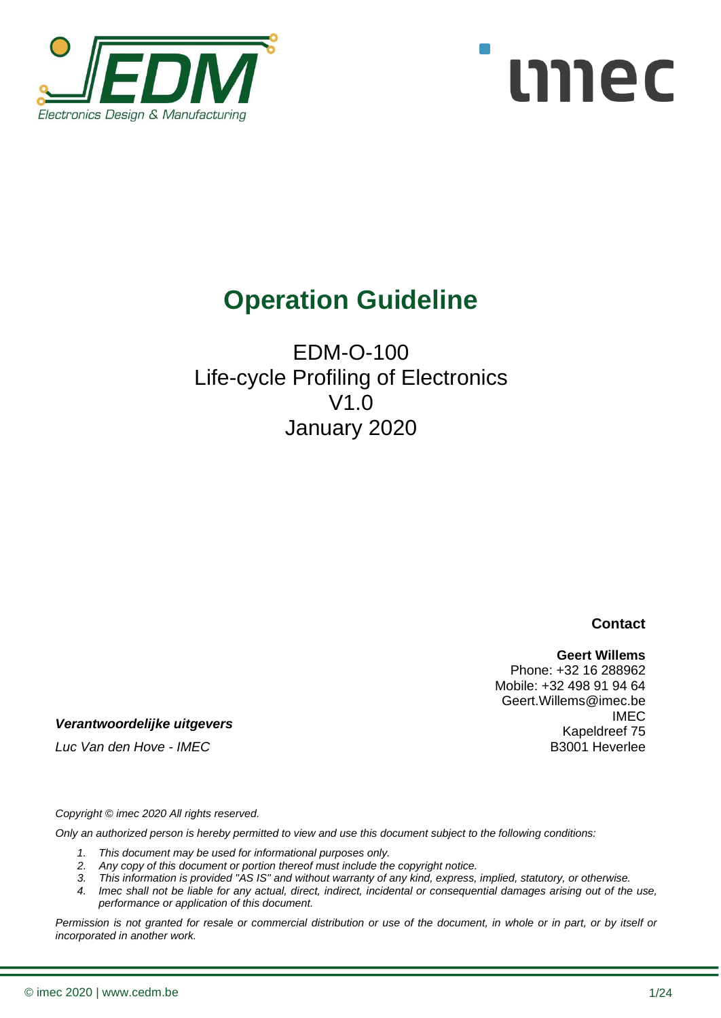



# **Operation Guideline**

# EDM-O-100 Life-cycle Profiling of Electronics V1.0 January 2020

**Contact**

#### **Geert Willems**

Phone: +32 16 288962 Mobile: +32 498 91 94 64 Geert.Willems@imec.be IMEC Kapeldreef 75 B3001 Heverlee

*Verantwoordelijke uitgevers*

*Luc Van den Hove - IMEC*

*Copyright © imec 2020 All rights reserved.* 

*Only an authorized person is hereby permitted to view and use this document subject to the following conditions:* 

- *1. This document may be used for informational purposes only.*
- *2. Any copy of this document or portion thereof must include the copyright notice.*
- *3. This information is provided "AS IS" and without warranty of any kind, express, implied, statutory, or otherwise.*
- *4. Imec shall not be liable for any actual, direct, indirect, incidental or consequential damages arising out of the use, performance or application of this document.*

*Permission is not granted for resale or commercial distribution or use of the document, in whole or in part, or by itself or incorporated in another work.*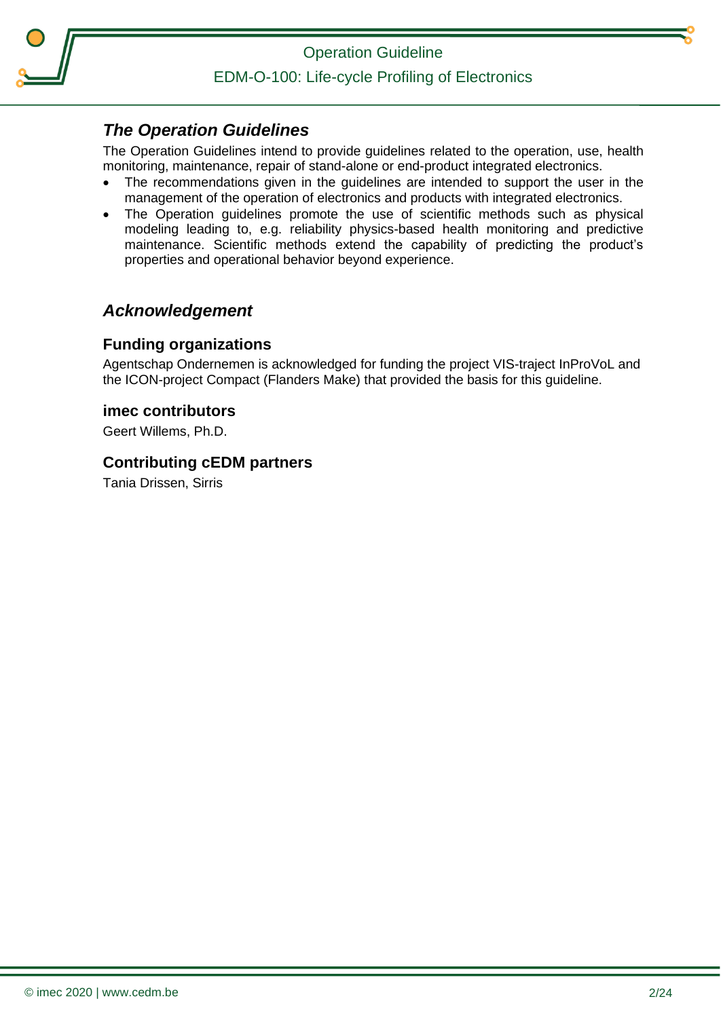

Operation Guideline

EDM-O-100: Life-cycle Profiling of Electronics

### <span id="page-1-0"></span>*The Operation Guidelines*

The Operation Guidelines intend to provide guidelines related to the operation, use, health monitoring, maintenance, repair of stand-alone or end-product integrated electronics.

- The recommendations given in the guidelines are intended to support the user in the management of the operation of electronics and products with integrated electronics.
- The Operation quidelines promote the use of scientific methods such as physical modeling leading to, e.g. reliability physics-based health monitoring and predictive maintenance. Scientific methods extend the capability of predicting the product's properties and operational behavior beyond experience.

### <span id="page-1-1"></span>*Acknowledgement*

#### **Funding organizations**

Agentschap Ondernemen is acknowledged for funding the project VIS-traject InProVoL and the ICON-project Compact (Flanders Make) that provided the basis for this guideline.

#### **imec contributors**

Geert Willems, Ph.D.

#### **Contributing cEDM partners**

Tania Drissen, Sirris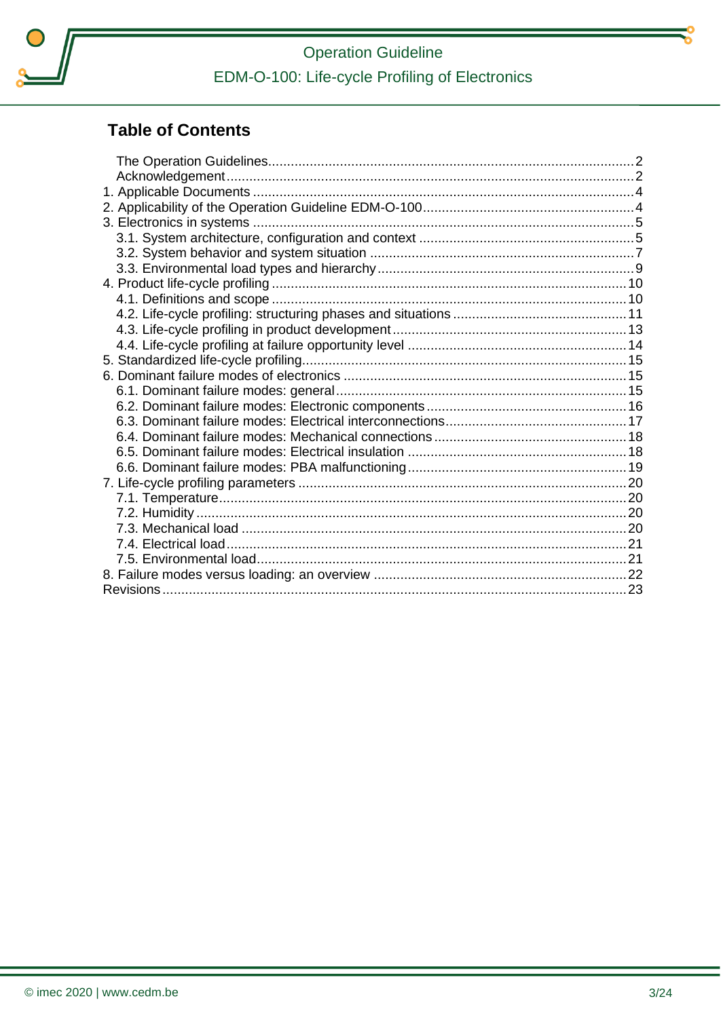

# **Operation Guideline** EDM-O-100: Life-cycle Profiling of Electronics

## **Table of Contents**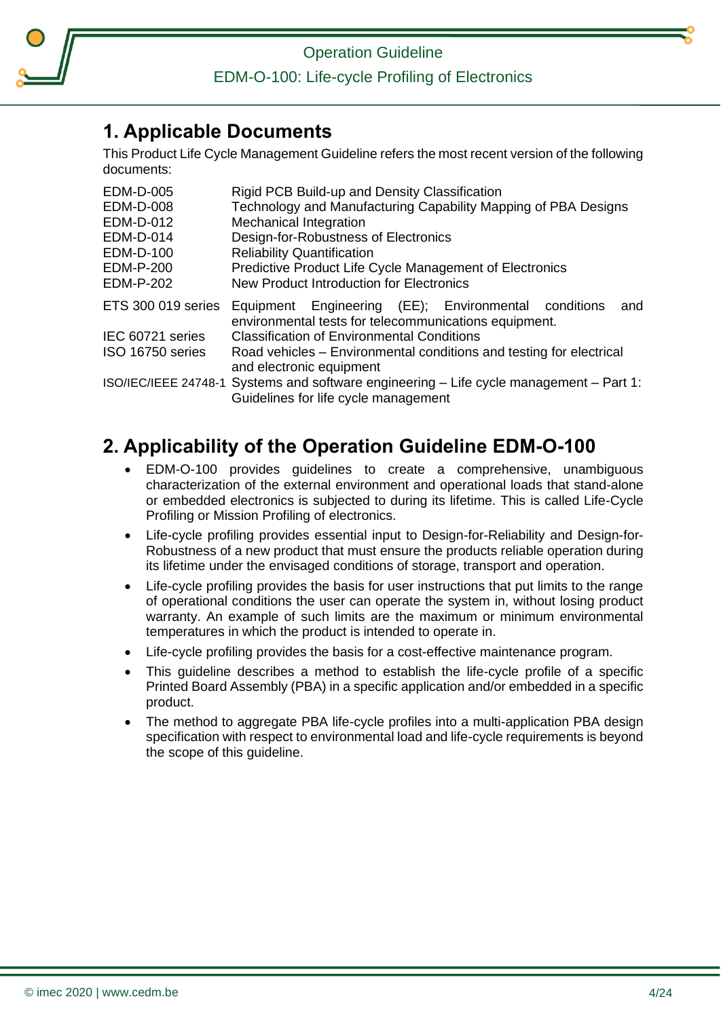

EDM-O-100: Life-cycle Profiling of Electronics

### <span id="page-3-0"></span>**1. Applicable Documents**

This Product Life Cycle Management Guideline refers the most recent version of the following documents:

| <b>EDM-D-005</b> | Rigid PCB Build-up and Density Classification                                                                                           |
|------------------|-----------------------------------------------------------------------------------------------------------------------------------------|
| <b>EDM-D-008</b> | Technology and Manufacturing Capability Mapping of PBA Designs                                                                          |
| <b>EDM-D-012</b> | <b>Mechanical Integration</b>                                                                                                           |
| <b>EDM-D-014</b> | Design-for-Robustness of Electronics                                                                                                    |
| EDM-D-100        | <b>Reliability Quantification</b>                                                                                                       |
| <b>EDM-P-200</b> | Predictive Product Life Cycle Management of Electronics                                                                                 |
| <b>EDM-P-202</b> | New Product Introduction for Electronics                                                                                                |
|                  | ETS 300 019 series Equipment Engineering (EE); Environmental conditions<br>and<br>environmental tests for telecommunications equipment. |
| IEC 60721 series | <b>Classification of Environmental Conditions</b>                                                                                       |
| ISO 16750 series | Road vehicles – Environmental conditions and testing for electrical<br>and electronic equipment                                         |
|                  | ISO/IEC/IEEE 24748-1 Systems and software engineering – Life cycle management – Part 1:<br>Guidelines for life cycle management         |

## <span id="page-3-1"></span>**2. Applicability of the Operation Guideline EDM-O-100**

- EDM-O-100 provides guidelines to create a comprehensive, unambiguous characterization of the external environment and operational loads that stand-alone or embedded electronics is subjected to during its lifetime. This is called Life-Cycle Profiling or Mission Profiling of electronics.
- Life-cycle profiling provides essential input to Design-for-Reliability and Design-for-Robustness of a new product that must ensure the products reliable operation during its lifetime under the envisaged conditions of storage, transport and operation.
- Life-cycle profiling provides the basis for user instructions that put limits to the range of operational conditions the user can operate the system in, without losing product warranty. An example of such limits are the maximum or minimum environmental temperatures in which the product is intended to operate in.
- Life-cycle profiling provides the basis for a cost-effective maintenance program.
- This guideline describes a method to establish the life-cycle profile of a specific Printed Board Assembly (PBA) in a specific application and/or embedded in a specific product.
- The method to aggregate PBA life-cycle profiles into a multi-application PBA design specification with respect to environmental load and life-cycle requirements is beyond the scope of this guideline.